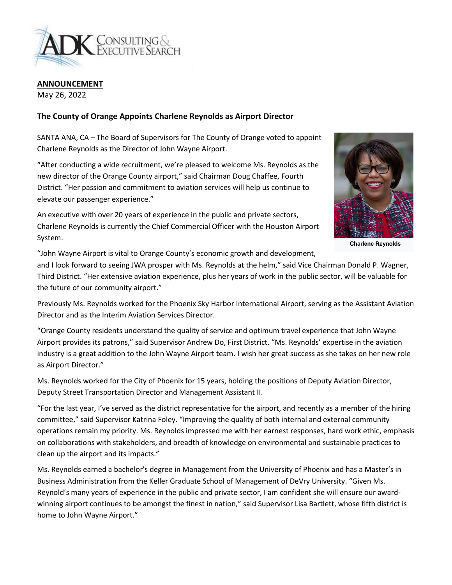

**ANNOUNCEMENT**

May 26, 2022

## **The County of Orange Appoints Charlene Reynolds as Airport Director**

SANTA ANA, CA – The Board of Supervisors for The County of Orange voted to appoint Charlene Reynolds as the Director of John Wayne Airport.

"After conducting a wide recruitment, we're pleased to welcome Ms. Reynolds as the new director of the Orange County airport," said Chairman Doug Chaffee, Fourth District. "Her passion and commitment to aviation services will help us continue to elevate our passenger experience."

An executive with over 20 years of experience in the public and private sectors, Charlene Reynolds is currently the Chief Commercial Officer with the Houston Airport System.



**Charlene Reynolds** 

"John Wayne Airport is vital to Orange County's economic growth and development,

and I look forward to seeing JWA prosper with Ms. Reynolds at the helm," said Vice Chairman Donald P. Wagner, Third District. "Her extensive aviation experience, plus her years of work in the public sector, will be valuable for the future of our community airport."

Previously Ms. Reynolds worked for the Phoenix Sky Harbor International Airport, serving as the Assistant Aviation Director and as the Interim Aviation Services Director.

"Orange County residents understand the quality of service and optimum travel experience that John Wayne Airport provides its patrons," said Supervisor Andrew Do, First District. "Ms. Reynolds' expertise in the aviation industry is a great addition to the John Wayne Airport team. I wish her great success as she takes on her new role as Airport Director."

Ms. Reynolds worked for the City of Phoenix for 15 years, holding the positions of Deputy Aviation Director, Deputy Street Transportation Director and Management Assistant II.

"For the last year, I've served as the district representative for the airport, and recently as a member of the hiring committee," said Supervisor Katrina Foley. "Improving the quality of both internal and external community operations remain my priority. Ms. Reynolds impressed me with her earnest responses, hard work ethic, emphasis on collaborations with stakeholders, and breadth of knowledge on environmental and sustainable practices to clean up the airport and its impacts."

Ms. Reynolds earned a bachelor's degree in Management from the University of Phoenix and has a Master's in Business Administration from the Keller Graduate School of Management of DeVry University. "Given Ms. Reynold's many years of experience in the public and private sector, I am confident she will ensure our awardwinning airport continues to be amongst the finest in nation," said Supervisor Lisa Bartlett, whose fifth district is home to John Wayne Airport."